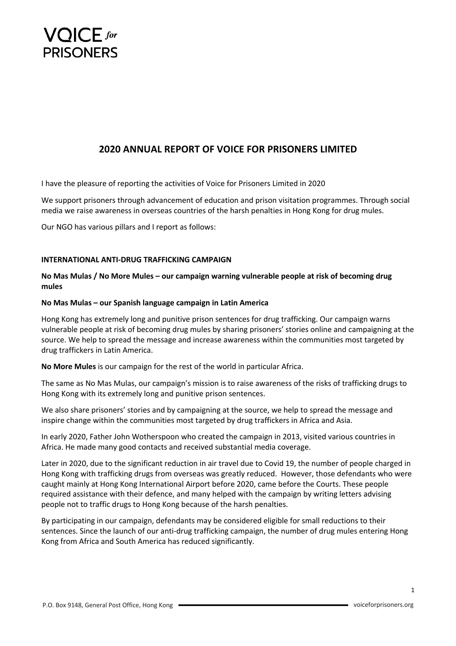

# **2020 ANNUAL REPORT OF VOICE FOR PRISONERS LIMITED**

I have the pleasure of reporting the activities of Voice for Prisoners Limited in 2020

We support prisoners through advancement of education and prison visitation programmes. Through social media we raise awareness in overseas countries of the harsh penalties in Hong Kong for drug mules.

Our NGO has various pillars and I report as follows:

## **INTERNATIONAL ANTI-DRUG TRAFFICKING CAMPAIGN**

# **No Mas Mulas / No More Mules – our campaign warning vulnerable people at risk of becoming drug mules**

### **No Mas Mulas – our Spanish language campaign in Latin America**

Hong Kong has extremely long and punitive prison sentences for drug trafficking. Our campaign warns vulnerable people at risk of becoming drug mules by sharing prisoners' stories online and campaigning at the source. We help to spread the message and increase awareness within the communities most targeted by drug traffickers in Latin America.

**No More Mules** is our campaign for the rest of the world in particular Africa.

The same as No Mas Mulas, our campaign's mission is to raise awareness of the risks of trafficking drugs to Hong Kong with its extremely long and punitive prison sentences.

We also share prisoners' stories and by campaigning at the source, we help to spread the message and inspire change within the communities most targeted by drug traffickers in Africa and Asia.

In early 2020, Father John Wotherspoon who created the campaign in 2013, visited various countries in Africa. He made many good contacts and received substantial media coverage.

Later in 2020, due to the significant reduction in air travel due to Covid 19, the number of people charged in Hong Kong with trafficking drugs from overseas was greatly reduced. However, those defendants who were caught mainly at Hong Kong International Airport before 2020, came before the Courts. These people required assistance with their defence, and many helped with the campaign by writing letters advising people not to traffic drugs to Hong Kong because of the harsh penalties.

By participating in our campaign, defendants may be considered eligible for small reductions to their sentences. Since the launch of our anti-drug trafficking campaign, the number of drug mules entering Hong Kong from Africa and South America has reduced significantly.